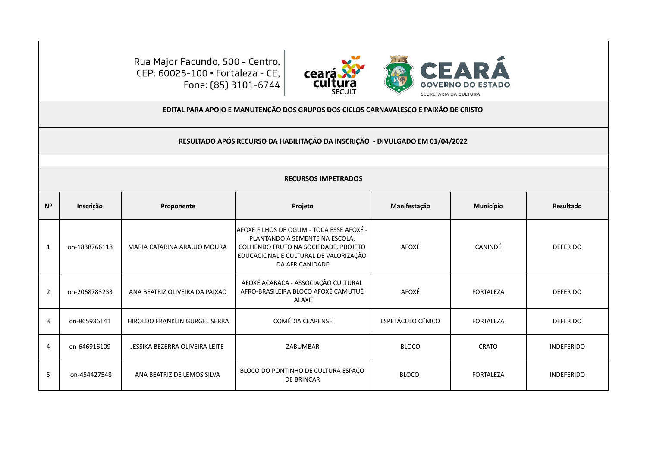

Rua Major Facundo, 500 - Centro, CEP: 60025-100 · Fortaleza - CE, Fone: (85) 3101-6744

## **EDITAL PARA APOIO E MANUTENÇÃO DOS GRUPOS DOS CICLOS CARNAVALESCO E PAIXÃO DE CRISTO**

**RESULTADO APÓS RECURSO DA HABILITAÇÃO DA INSCRIÇÃO - DIVULGADO EM 01/04/2022**

## **RECURSOS IMPETRADOS**

| N <sup>2</sup> | Inscrição     | Proponente                     | Projeto                                                                                                                                                                        | Manifestação             | <b>Município</b> | Resultado         |
|----------------|---------------|--------------------------------|--------------------------------------------------------------------------------------------------------------------------------------------------------------------------------|--------------------------|------------------|-------------------|
|                | on-1838766118 | MARIA CATARINA ARAUJO MOURA    | AFOXÉ FILHOS DE OGUM - TOCA ESSE AFOXÉ -<br>PLANTANDO A SEMENTE NA ESCOLA,<br>COLHENDO FRUTO NA SOCIEDADE. PROJETO<br>EDUCACIONAL E CULTURAL DE VALORIZAÇÃO<br>DA AFRICANIDADE | AFOXÉ                    | CANINDÉ          | <b>DEFERIDO</b>   |
| $\overline{2}$ | on-2068783233 | ANA BEATRIZ OLIVEIRA DA PAIXAO | AFOXÉ ACABACA - ASSOCIAÇÃO CULTURAL<br>AFRO-BRASILEIRA BLOCO AFOXÉ CAMUTUÊ<br>ALAXÉ                                                                                            | AFOXÉ                    | <b>FORTALEZA</b> | <b>DEFERIDO</b>   |
| 3              | on-865936141  | HIROLDO FRANKLIN GURGEL SERRA  | <b>COMÉDIA CEARENSE</b>                                                                                                                                                        | <b>ESPETÁCULO CÊNICO</b> | <b>FORTALEZA</b> | <b>DEFERIDO</b>   |
| 4              | on-646916109  | JESSIKA BEZERRA OLIVEIRA LEITE | ZABUMBAR                                                                                                                                                                       | <b>BLOCO</b>             | <b>CRATO</b>     | <b>INDEFERIDO</b> |
| .5             | on-454427548  | ANA BEATRIZ DE LEMOS SILVA     | BLOCO DO PONTINHO DE CULTURA ESPAÇO<br><b>DE BRINCAR</b>                                                                                                                       | <b>BLOCO</b>             | <b>FORTALEZA</b> | <b>INDEFERIDO</b> |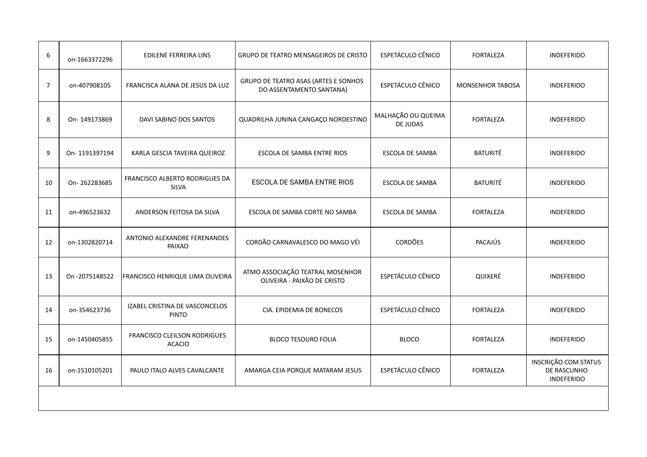| 6              | on-1663372296  | EDILENE FERREIRA LINS                          | <b>GRUPO DE TEATRO MENSAGEIROS DE CRISTO</b>                     | ESPETÁCULO CÊNICO                     | <b>FORTALEZA</b>        | <b>INDEFERIDO</b>                                               |
|----------------|----------------|------------------------------------------------|------------------------------------------------------------------|---------------------------------------|-------------------------|-----------------------------------------------------------------|
| $\overline{7}$ | on-407908105   | FRANCISCA ALANA DE JESUS DA LUZ                | GRUPO DE TEATRO ASAS (ARTES E SONHOS<br>DO ASSENTAMENTO SANTANA) | ESPETÁCULO CÊNICO                     | <b>MONSENHOR TABOSA</b> | <b>INDEFERIDO</b>                                               |
| 8              | On-149173869   | DAVI SABINO DOS SANTOS                         | QUADRILHA JUNINA CANGAÇO NORDESTINO                              | MALHAÇÃO OU QUEIMA<br><b>DE JUDAS</b> | <b>FORTALEZA</b>        | <b>INDEFERIDO</b>                                               |
| 9              | On-1191397194  | KARLA GESCIA TAVEIRA QUEIROZ                   | ESCOLA DE SAMBA ENTRE RIOS                                       | <b>ESCOLA DE SAMBA</b>                | <b>BATURITÉ</b>         | <b>INDEFERIDO</b>                                               |
| 10             | On-262283685   | FRANCISCO ALBERTO RODRIGUES DA<br><b>SILVA</b> | ESCOLA DE SAMBA ENTRE RIOS                                       | ESCOLA DE SAMBA                       | <b>BATURITÉ</b>         | <b>INDEFERIDO</b>                                               |
| 11             | on-496523632   | ANDERSON FEITOSA DA SILVA                      | ESCOLA DE SAMBA CORTE NO SAMBA                                   | <b>ESCOLA DE SAMBA</b>                | <b>FORTALEZA</b>        | <b>INDEFERIDO</b>                                               |
| 12             | on-1302820714  | ANTONIO ALEXANDRE FERENANDES<br>PAIXAO         | CORDÃO CARNAVALESCO DO MAGO VÉI                                  | <b>CORDÕES</b>                        | PACAJÚS                 | <b>INDEFERIDO</b>                                               |
| 13             | On -2075148522 | FRANCISCO HENRIQUE LIMA OLIVEIRA               | ATMO ASSOCIAÇÃO TEATRAL MOSENHOR<br>OLIVEIRA - PAIXÃO DE CRISTO  | ESPETÁCULO CÊNICO                     | QUIXERÉ                 | <b>INDEFERIDO</b>                                               |
| 14             | on-354623736   | IZABEL CRISTINA DE VASCONCELOS<br><b>PINTO</b> | CIA. EPIDEMIA DE BONECOS                                         | ESPETÁCULO CÊNICO                     | <b>FORTALEZA</b>        | <b>INDEFERIDO</b>                                               |
| 15             | on-1450405855  | FRANCISCO CLEILSON RODRIGUES<br><b>ACACIO</b>  | <b>BLOCO TESOURO FOLIA</b>                                       | <b>BLOCO</b>                          | <b>FORTALEZA</b>        | <b>INDEFERIDO</b>                                               |
| 16             | on-1510105201  | PAULO ITALO ALVES CAVALCANTE                   | AMARGA CEIA PORQUE MATARAM JESUS                                 | ESPETÁCULO CÊNICO                     | <b>FORTALEZA</b>        | <b>INSCRIÇÃO COM STATUS</b><br>DE RASCUNHO<br><b>INDEFERIDO</b> |
|                |                |                                                |                                                                  |                                       |                         |                                                                 |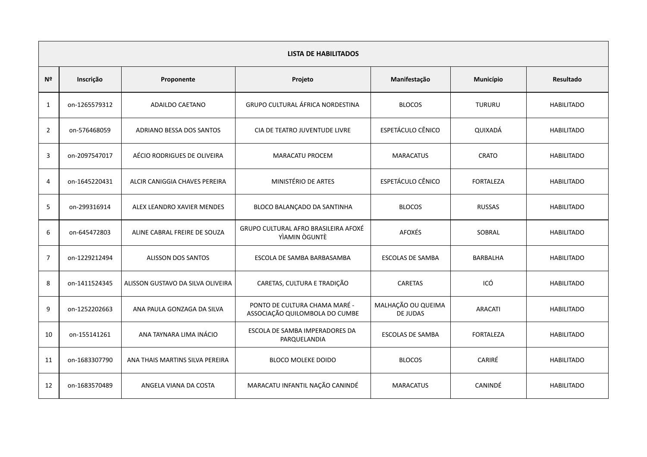|                | <b>LISTA DE HABILITADOS</b> |                                   |                                                                 |                                |                  |                   |  |  |  |
|----------------|-----------------------------|-----------------------------------|-----------------------------------------------------------------|--------------------------------|------------------|-------------------|--|--|--|
| Nº             | Inscrição                   | Proponente                        | Projeto                                                         | Manifestação                   | Município        | <b>Resultado</b>  |  |  |  |
| 1              | on-1265579312               | <b>ADAILDO CAETANO</b>            | GRUPO CULTURAL ÁFRICA NORDESTINA                                | <b>BLOCOS</b>                  | <b>TURURU</b>    | <b>HABILITADO</b> |  |  |  |
| $\overline{2}$ | on-576468059                | ADRIANO BESSA DOS SANTOS          | CIA DE TEATRO JUVENTUDE LIVRE                                   | ESPETÁCULO CÊNICO              | QUIXADÁ          | <b>HABILITADO</b> |  |  |  |
| 3              | on-2097547017               | AÉCIO RODRIGUES DE OLIVEIRA       | <b>MARACATU PROCEM</b>                                          | <b>MARACATUS</b>               | <b>CRATO</b>     | <b>HABILITADO</b> |  |  |  |
| $\overline{4}$ | on-1645220431               | ALCIR CANIGGIA CHAVES PEREIRA     | MINISTÉRIO DE ARTES                                             | ESPETÁCULO CÊNICO              | <b>FORTALEZA</b> | <b>HABILITADO</b> |  |  |  |
| 5              | on-299316914                | ALEX LEANDRO XAVIER MENDES        | BLOCO BALANÇADO DA SANTINHA                                     | <b>BLOCOS</b>                  | <b>RUSSAS</b>    | <b>HABILITADO</b> |  |  |  |
| 6              | on-645472803                | ALINE CABRAL FREIRE DE SOUZA      | GRUPO CULTURAL AFRO BRASILEIRA AFOXÉ<br>YÌAMIN ÒGUNTÈ           | <b>AFOXÉS</b>                  | SOBRAL           | <b>HABILITADO</b> |  |  |  |
| $\overline{7}$ | on-1229212494               | ALISSON DOS SANTOS                | ESCOLA DE SAMBA BARBASAMBA                                      | <b>ESCOLAS DE SAMBA</b>        | <b>BARBALHA</b>  | <b>HABILITADO</b> |  |  |  |
| 8              | on-1411524345               | ALISSON GUSTAVO DA SILVA OLIVEIRA | CARETAS, CULTURA E TRADIÇÃO                                     | <b>CARETAS</b>                 | ICÓ              | <b>HABILITADO</b> |  |  |  |
| 9              | on-1252202663               | ANA PAULA GONZAGA DA SILVA        | PONTO DE CULTURA CHAMA MARÉ -<br>ASSOCIAÇÃO QUILOMBOLA DO CUMBE | MALHAÇÃO OU QUEIMA<br>DE JUDAS | <b>ARACATI</b>   | <b>HABILITADO</b> |  |  |  |
| 10             | on-155141261                | ANA TAYNARA LIMA INÁCIO           | ESCOLA DE SAMBA IMPERADORES DA<br>PARQUELANDIA                  | <b>ESCOLAS DE SAMBA</b>        | <b>FORTALEZA</b> | <b>HABILITADO</b> |  |  |  |
| 11             | on-1683307790               | ANA THAIS MARTINS SILVA PEREIRA   | <b>BLOCO MOLEKE DOIDO</b>                                       | <b>BLOCOS</b>                  | CARIRÉ           | <b>HABILITADO</b> |  |  |  |
| 12             | on-1683570489               | ANGELA VIANA DA COSTA             | MARACATU INFANTIL NAÇÃO CANINDÉ                                 | <b>MARACATUS</b>               | <b>CANINDÉ</b>   | <b>HABILITADO</b> |  |  |  |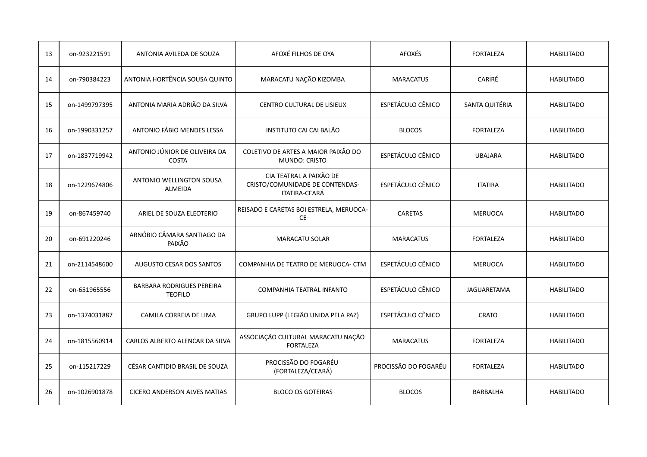| 13 | on-923221591  | ANTONIA AVILEDA DE SOUZA                           | AFOXÉ FILHOS DE OYA                                                         | <b>AFOXÉS</b>        | <b>FORTALEZA</b>   | <b>HABILITADO</b> |
|----|---------------|----------------------------------------------------|-----------------------------------------------------------------------------|----------------------|--------------------|-------------------|
| 14 | on-790384223  | ANTONIA HORTÊNCIA SOUSA QUINTO                     | MARACATU NAÇÃO KIZOMBA                                                      | <b>MARACATUS</b>     | CARIRÉ             | <b>HABILITADO</b> |
| 15 | on-1499797395 | ANTONIA MARIA ADRIÃO DA SILVA                      | CENTRO CULTURAL DE LISIEUX                                                  | ESPETÁCULO CÊNICO    | SANTA QUITÉRIA     | <b>HABILITADO</b> |
| 16 | on-1990331257 | ANTONIO FÁBIO MENDES LESSA                         | INSTITUTO CAI CAI BALÃO                                                     | <b>BLOCOS</b>        | <b>FORTALEZA</b>   | <b>HABILITADO</b> |
| 17 | on-1837719942 | ANTONIO JÚNIOR DE OLIVEIRA DA<br><b>COSTA</b>      | COLETIVO DE ARTES A MAIOR PAIXÃO DO<br><b>MUNDO: CRISTO</b>                 | ESPETÁCULO CÊNICO    | <b>UBAJARA</b>     | <b>HABILITADO</b> |
| 18 | on-1229674806 | <b>ANTONIO WELLINGTON SOUSA</b><br>ALMEIDA         | CIA TEATRAL A PAIXÃO DE<br>CRISTO/COMUNIDADE DE CONTENDAS-<br>ITATIRA-CEARÁ | ESPETÁCULO CÊNICO    | <b>ITATIRA</b>     | <b>HABILITADO</b> |
| 19 | on-867459740  | ARIEL DE SOUZA ELEOTERIO                           | REISADO E CARETAS BOI ESTRELA, MERUOCA-<br>CE                               | <b>CARETAS</b>       | <b>MERUOCA</b>     | <b>HABILITADO</b> |
| 20 | on-691220246  | ARNÓBIO CÂMARA SANTIAGO DA<br>PAIXÃO               | <b>MARACATU SOLAR</b>                                                       | <b>MARACATUS</b>     | <b>FORTALEZA</b>   | <b>HABILITADO</b> |
| 21 | on-2114548600 | <b>AUGUSTO CESAR DOS SANTOS</b>                    | COMPANHIA DE TEATRO DE MERUOCA- CTM                                         | ESPETÁCULO CÊNICO    | <b>MERUOCA</b>     | <b>HABILITADO</b> |
| 22 | on-651965556  | <b>BARBARA RODRIGUES PEREIRA</b><br><b>TEOFILO</b> | COMPANHIA TEATRAL INFANTO                                                   | ESPETÁCULO CÊNICO    | <b>JAGUARETAMA</b> | <b>HABILITADO</b> |
| 23 | on-1374031887 | CAMILA CORREIA DE LIMA                             | GRUPO LUPP (LEGIÃO UNIDA PELA PAZ)                                          | ESPETÁCULO CÊNICO    | <b>CRATO</b>       | <b>HABILITADO</b> |
| 24 | on-1815560914 | CARLOS ALBERTO ALENCAR DA SILVA                    | ASSOCIAÇÃO CULTURAL MARACATU NAÇÃO<br><b>FORTALEZA</b>                      | <b>MARACATUS</b>     | <b>FORTALEZA</b>   | <b>HABILITADO</b> |
| 25 | on-115217229  | CÉSAR CANTIDIO BRASIL DE SOUZA                     | PROCISSÃO DO FOGARÉU<br>(FORTALEZA/CEARÁ)                                   | PROCISSÃO DO FOGARÉU | <b>FORTALEZA</b>   | <b>HABILITADO</b> |
| 26 | on-1026901878 | <b>CICERO ANDERSON ALVES MATIAS</b>                | <b>BLOCO OS GOTEIRAS</b>                                                    | <b>BLOCOS</b>        | <b>BARBALHA</b>    | <b>HABILITADO</b> |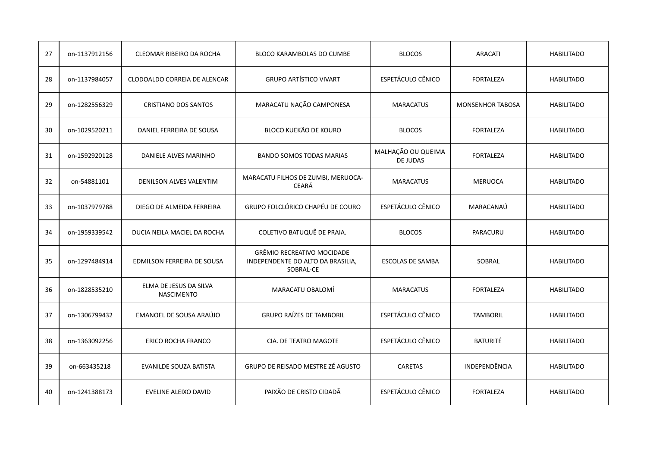| 27 | on-1137912156 | CLEOMAR RIBEIRO DA ROCHA                    | <b>BLOCO KARAMBOLAS DO CUMBE</b>                                                    | <b>BLOCOS</b>                  | <b>ARACATI</b>          | <b>HABILITADO</b> |
|----|---------------|---------------------------------------------|-------------------------------------------------------------------------------------|--------------------------------|-------------------------|-------------------|
| 28 | on-1137984057 | CLODOALDO CORREIA DE ALENCAR                | <b>GRUPO ARTÍSTICO VIVART</b>                                                       | ESPETÁCULO CÊNICO              | <b>FORTALEZA</b>        | <b>HABILITADO</b> |
| 29 | on-1282556329 | <b>CRISTIANO DOS SANTOS</b>                 | MARACATU NAÇÃO CAMPONESA                                                            | <b>MARACATUS</b>               | <b>MONSENHOR TABOSA</b> | <b>HABILITADO</b> |
| 30 | on-1029520211 | DANIEL FERREIRA DE SOUSA                    | BLOCO KUEKÃO DE KOURO                                                               | <b>BLOCOS</b>                  | <b>FORTALEZA</b>        | <b>HABILITADO</b> |
| 31 | on-1592920128 | DANIELE ALVES MARINHO                       | <b>BANDO SOMOS TODAS MARIAS</b>                                                     | MALHAÇÃO OU QUEIMA<br>DE JUDAS | <b>FORTALEZA</b>        | <b>HABILITADO</b> |
| 32 | on-54881101   | DENILSON ALVES VALENTIM                     | MARACATU FILHOS DE ZUMBI, MERUOCA-<br><b>CEARÁ</b>                                  | <b>MARACATUS</b>               | <b>MERUOCA</b>          | <b>HABILITADO</b> |
| 33 | on-1037979788 | DIEGO DE ALMEIDA FERREIRA                   | GRUPO FOLCLÓRICO CHAPÉU DE COURO                                                    | ESPETÁCULO CÊNICO              | MARACANAÚ               | <b>HABILITADO</b> |
| 34 | on-1959339542 | DUCIA NEILA MACIEL DA ROCHA                 | COLETIVO BATUQUÊ DE PRAIA.                                                          | <b>BLOCOS</b>                  | PARACURU                | <b>HABILITADO</b> |
| 35 | on-1297484914 | EDMILSON FERREIRA DE SOUSA                  | <b>GRÊMIO RECREATIVO MOCIDADE</b><br>INDEPENDENTE DO ALTO DA BRASILIA,<br>SOBRAL-CE | <b>ESCOLAS DE SAMBA</b>        | SOBRAL                  | <b>HABILITADO</b> |
| 36 | on-1828535210 | ELMA DE JESUS DA SILVA<br><b>NASCIMENTO</b> | MARACATU OBALOMÍ                                                                    | <b>MARACATUS</b>               | <b>FORTALEZA</b>        | <b>HABILITADO</b> |
| 37 | on-1306799432 | EMANOEL DE SOUSA ARAÚJO                     | <b>GRUPO RAÍZES DE TAMBORIL</b>                                                     | ESPETÁCULO CÊNICO              | <b>TAMBORIL</b>         | <b>HABILITADO</b> |
| 38 | on-1363092256 | <b>ERICO ROCHA FRANCO</b>                   | CIA. DE TEATRO MAGOTE                                                               | ESPETÁCULO CÊNICO              | <b>BATURITÉ</b>         | <b>HABILITADO</b> |
| 39 | on-663435218  | EVANILDE SOUZA BATISTA                      | GRUPO DE REISADO MESTRE ZÉ AGUSTO                                                   | <b>CARETAS</b>                 | INDEPENDÊNCIA           | <b>HABILITADO</b> |
| 40 | on-1241388173 | EVELINE ALEIXO DAVID                        | PAIXÃO DE CRISTO CIDADÃ                                                             | ESPETÁCULO CÊNICO              | <b>FORTALEZA</b>        | <b>HABILITADO</b> |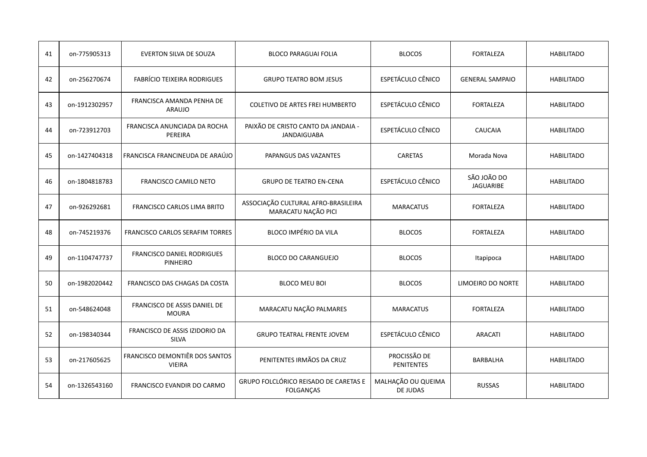| 41 | on-775905313  | <b>EVERTON SILVA DE SOUZA</b>                   | <b>BLOCO PARAGUAI FOLIA</b>                                | <b>BLOCOS</b>                  | <b>FORTALEZA</b>                | <b>HABILITADO</b> |
|----|---------------|-------------------------------------------------|------------------------------------------------------------|--------------------------------|---------------------------------|-------------------|
| 42 | on-256270674  | <b>FABRÍCIO TEIXEIRA RODRIGUES</b>              | <b>GRUPO TEATRO BOM JESUS</b>                              | ESPETÁCULO CÊNICO              | <b>GENERAL SAMPAIO</b>          | <b>HABILITADO</b> |
| 43 | on-1912302957 | FRANCISCA AMANDA PENHA DE<br>ARAUJO             | <b>COLETIVO DE ARTES FREI HUMBERTO</b>                     | ESPETÁCULO CÊNICO              | <b>FORTALEZA</b>                | <b>HABILITADO</b> |
| 44 | on-723912703  | FRANCISCA ANUNCIADA DA ROCHA<br>PEREIRA         | PAIXÃO DE CRISTO CANTO DA JANDAIA -<br><b>JANDAIGUABA</b>  | ESPETÁCULO CÊNICO              | <b>CAUCAIA</b>                  | <b>HABILITADO</b> |
| 45 | on-1427404318 | FRANCISCA FRANCINEUDA DE ARAÚJO                 | PAPANGUS DAS VAZANTES                                      | <b>CARETAS</b>                 | Morada Nova                     | <b>HABILITADO</b> |
| 46 | on-1804818783 | <b>FRANCISCO CAMILO NETO</b>                    | <b>GRUPO DE TEATRO EN-CENA</b>                             | ESPETÁCULO CÊNICO              | SÃO JOÃO DO<br><b>JAGUARIBE</b> | <b>HABILITADO</b> |
| 47 | on-926292681  | <b>FRANCISCO CARLOS LIMA BRITO</b>              | ASSOCIAÇÃO CULTURAL AFRO-BRASILEIRA<br>MARACATU NAÇÃO PICI | <b>MARACATUS</b>               | <b>FORTALEZA</b>                | <b>HABILITADO</b> |
| 48 | on-745219376  | <b>FRANCISCO CARLOS SERAFIM TORRES</b>          | BLOCO IMPÉRIO DA VILA                                      | <b>BLOCOS</b>                  | <b>FORTALEZA</b>                | <b>HABILITADO</b> |
| 49 | on-1104747737 | FRANCISCO DANIEL RODRIGUES<br><b>PINHEIRO</b>   | <b>BLOCO DO CARANGUEJO</b>                                 | <b>BLOCOS</b>                  | Itapipoca                       | <b>HABILITADO</b> |
| 50 | on-1982020442 | FRANCISCO DAS CHAGAS DA COSTA                   | <b>BLOCO MEU BOI</b>                                       | <b>BLOCOS</b>                  | LIMOEIRO DO NORTE               | <b>HABILITADO</b> |
| 51 | on-548624048  | FRANCISCO DE ASSIS DANIEL DE<br><b>MOURA</b>    | MARACATU NAÇÃO PALMARES                                    | <b>MARACATUS</b>               | <b>FORTALEZA</b>                | <b>HABILITADO</b> |
| 52 | on-198340344  | FRANCISCO DE ASSIS IZIDORIO DA<br><b>SILVA</b>  | <b>GRUPO TEATRAL FRENTE JOVEM</b>                          | ESPETÁCULO CÊNICO              | <b>ARACATI</b>                  | <b>HABILITADO</b> |
| 53 | on-217605625  | FRANCISCO DEMONTIÊR DOS SANTOS<br><b>VIEIRA</b> | PENITENTES IRMÃOS DA CRUZ                                  | PROCISSÃO DE<br>PENITENTES     | BARBALHA                        | <b>HABILITADO</b> |
| 54 | on-1326543160 | FRANCISCO EVANDIR DO CARMO                      | GRUPO FOLCLÓRICO REISADO DE CARETAS E<br><b>FOLGANÇAS</b>  | MALHAÇÃO OU QUEIMA<br>DE JUDAS | <b>RUSSAS</b>                   | <b>HABILITADO</b> |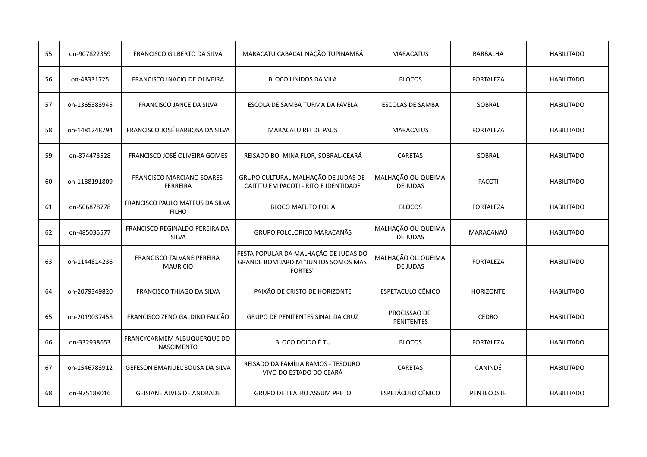| 55 | on-907822359  | FRANCISCO GILBERTO DA SILVA                         | MARACATU CABAÇAL NAÇÃO TUPINAMBÁ                                                                      | <b>MARACATUS</b>                  | <b>BARBALHA</b>   | <b>HABILITADO</b> |
|----|---------------|-----------------------------------------------------|-------------------------------------------------------------------------------------------------------|-----------------------------------|-------------------|-------------------|
| 56 | on-48331725   | FRANCISCO INACIO DE OLIVEIRA                        | <b>BLOCO UNIDOS DA VILA</b>                                                                           | <b>BLOCOS</b>                     | <b>FORTALEZA</b>  | <b>HABILITADO</b> |
| 57 | on-1365383945 | <b>FRANCISCO JANCE DA SILVA</b>                     | ESCOLA DE SAMBA TURMA DA FAVELA                                                                       | <b>ESCOLAS DE SAMBA</b>           | SOBRAL            | <b>HABILITADO</b> |
| 58 | on-1481248794 | FRANCISCO JOSÉ BARBOSA DA SILVA                     | <b>MARACATU REI DE PAUS</b>                                                                           | <b>MARACATUS</b>                  | <b>FORTALEZA</b>  | <b>HABILITADO</b> |
| 59 | on-374473528  | FRANCISCO JOSÉ OLIVEIRA GOMES                       | REISADO BOI MINA FLOR, SOBRAL-CEARÁ                                                                   | <b>CARETAS</b>                    | SOBRAL            | <b>HABILITADO</b> |
| 60 | on-1188191809 | FRANCISCO MARCIANO SOARES<br><b>FERREIRA</b>        | GRUPO CULTURAL MALHAÇÃO DE JUDAS DE<br>CAITITU EM PACOTI - RITO E IDENTIDADE                          | MALHAÇÃO OU QUEIMA<br>DE JUDAS    | <b>PACOTI</b>     | <b>HABILITADO</b> |
| 61 | on-506878778  | FRANCISCO PAULO MATEUS DA SILVA<br><b>FILHO</b>     | <b>BLOCO MATUTO FOLIA</b>                                                                             | <b>BLOCOS</b>                     | <b>FORTALEZA</b>  | <b>HABILITADO</b> |
| 62 | on-485035577  | FRANCISCO REGINALDO PEREIRA DA<br><b>SILVA</b>      | GRUPO FOLCLORICO MARACANÃS                                                                            | MALHAÇÃO OU QUEIMA<br>DE JUDAS    | MARACANAÚ         | <b>HABILITADO</b> |
| 63 | on-1144814236 | <b>FRANCISCO TALVANE PEREIRA</b><br><b>MAURICIO</b> | FESTA POPULAR DA MALHAÇÃO DE JUDAS DO<br><b>GRANDE BOM JARDIM "JUNTOS SOMOS MAS</b><br><b>FORTES"</b> | MALHAÇÃO OU QUEIMA<br>DE JUDAS    | <b>FORTALEZA</b>  | <b>HABILITADO</b> |
| 64 | on-2079349820 | <b>FRANCISCO THIAGO DA SILVA</b>                    | PAIXÃO DE CRISTO DE HORIZONTE                                                                         | ESPETÁCULO CÊNICO                 | <b>HORIZONTE</b>  | <b>HABILITADO</b> |
| 65 | on-2019037458 | FRANCISCO ZENO GALDINO FALCÃO                       | GRUPO DE PENITENTES SINAL DA CRUZ                                                                     | PROCISSÃO DE<br><b>PENITENTES</b> | <b>CEDRO</b>      | <b>HABILITADO</b> |
| 66 | on-332938653  | FRANCYCARMEM ALBUQUERQUE DO<br><b>NASCIMENTO</b>    | <b>BLOCO DOIDO É TU</b>                                                                               | <b>BLOCOS</b>                     | <b>FORTALEZA</b>  | <b>HABILITADO</b> |
| 67 | on-1546783912 | GEFESON EMANUEL SOUSA DA SILVA                      | REISADO DA FAMÍLIA RAMOS - TESOURO<br>VIVO DO ESTADO DO CEARÁ                                         | <b>CARETAS</b>                    | <b>CANINDÉ</b>    | <b>HABILITADO</b> |
| 68 | on-975188016  | <b>GEISIANE ALVES DE ANDRADE</b>                    | <b>GRUPO DE TEATRO ASSUM PRETO</b>                                                                    | ESPETÁCULO CÊNICO                 | <b>PENTECOSTE</b> | <b>HABILITADO</b> |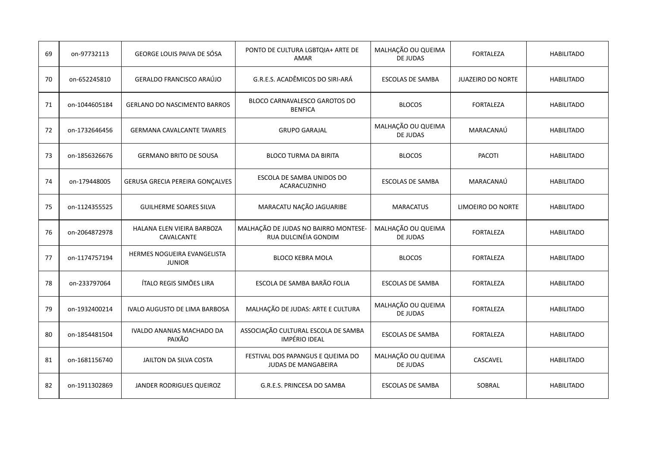| 69 | on-97732113   | GEORGE LOUIS PAIVA DE SÓSA                   | PONTO DE CULTURA LGBTQIA+ ARTE DE<br>AMAR                    | MALHAÇÃO OU QUEIMA<br>DE JUDAS | <b>FORTALEZA</b>         | <b>HABILITADO</b> |
|----|---------------|----------------------------------------------|--------------------------------------------------------------|--------------------------------|--------------------------|-------------------|
| 70 | on-652245810  | GERALDO FRANCISCO ARAÚJO                     | G.R.E.S. ACADÊMICOS DO SIRI-ARÁ                              | <b>ESCOLAS DE SAMBA</b>        | <b>JUAZEIRO DO NORTE</b> | <b>HABILITADO</b> |
| 71 | on-1044605184 | <b>GERLANO DO NASCIMENTO BARROS</b>          | BLOCO CARNAVALESCO GAROTOS DO<br><b>BENFICA</b>              | <b>BLOCOS</b>                  | <b>FORTALEZA</b>         | <b>HABILITADO</b> |
| 72 | on-1732646456 | <b>GERMANA CAVALCANTE TAVARES</b>            | <b>GRUPO GARAJAL</b>                                         | MALHAÇÃO OU QUEIMA<br>DE JUDAS | MARACANAÚ                | <b>HABILITADO</b> |
| 73 | on-1856326676 | <b>GERMANO BRITO DE SOUSA</b>                | <b>BLOCO TURMA DA BIRITA</b>                                 | <b>BLOCOS</b>                  | <b>PACOTI</b>            | <b>HABILITADO</b> |
| 74 | on-179448005  | <b>GERUSA GRECIA PEREIRA GONÇALVES</b>       | ESCOLA DE SAMBA UNIDOS DO<br>ACARACUZINHO                    | ESCOLAS DE SAMBA               | MARACANAÚ                | <b>HABILITADO</b> |
| 75 | on-1124355525 | <b>GUILHERME SOARES SILVA</b>                | MARACATU NAÇÃO JAGUARIBE                                     | <b>MARACATUS</b>               | LIMOEIRO DO NORTE        | <b>HABILITADO</b> |
| 76 | on-2064872978 | HALANA ELEN VIEIRA BARBOZA<br>CAVALCANTE     | MALHAÇÃO DE JUDAS NO BAIRRO MONTESE-<br>RUA DULCINÉIA GONDIM | MALHAÇÃO OU QUEIMA<br>DE JUDAS | <b>FORTALEZA</b>         | <b>HABILITADO</b> |
| 77 | on-1174757194 | HERMES NOGUEIRA EVANGELISTA<br><b>JUNIOR</b> | <b>BLOCO KEBRA MOLA</b>                                      | <b>BLOCOS</b>                  | <b>FORTALEZA</b>         | <b>HABILITADO</b> |
| 78 | on-233797064  | ÍTALO REGIS SIMÕES LIRA                      | ESCOLA DE SAMBA BARÃO FOLIA                                  | <b>ESCOLAS DE SAMBA</b>        | <b>FORTALEZA</b>         | <b>HABILITADO</b> |
| 79 | on-1932400214 | IVALO AUGUSTO DE LIMA BARBOSA                | MALHAÇÃO DE JUDAS: ARTE E CULTURA                            | MALHAÇÃO OU QUEIMA<br>DE JUDAS | <b>FORTALEZA</b>         | <b>HABILITADO</b> |
| 80 | on-1854481504 | IVALDO ANANIAS MACHADO DA<br>PAIXÃO          | ASSOCIAÇÃO CULTURAL ESCOLA DE SAMBA<br><b>IMPÉRIO IDEAL</b>  | <b>ESCOLAS DE SAMBA</b>        | <b>FORTALEZA</b>         | <b>HABILITADO</b> |
| 81 | on-1681156740 | JAILTON DA SILVA COSTA                       | FESTIVAL DOS PAPANGUS E QUEIMA DO<br>JUDAS DE MANGABEIRA     | MALHAÇÃO OU QUEIMA<br>DE JUDAS | CASCAVEL                 | <b>HABILITADO</b> |
| 82 | on-1911302869 | JANDER RODRIGUES QUEIROZ                     | G.R.E.S. PRINCESA DO SAMBA                                   | <b>ESCOLAS DE SAMBA</b>        | SOBRAL                   | <b>HABILITADO</b> |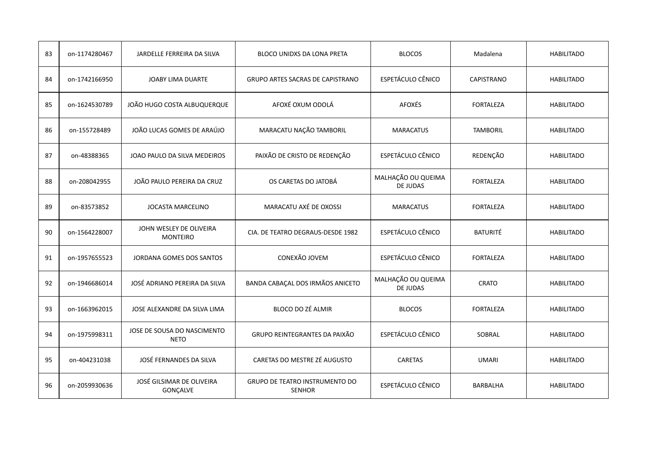| 83 | on-1174280467 | JARDELLE FERREIRA DA SILVA                 | BLOCO UNIDXS DA LONA PRETA                      | <b>BLOCOS</b>                  | Madalena          | <b>HABILITADO</b> |
|----|---------------|--------------------------------------------|-------------------------------------------------|--------------------------------|-------------------|-------------------|
| 84 | on-1742166950 | JOABY LIMA DUARTE                          | <b>GRUPO ARTES SACRAS DE CAPISTRANO</b>         | ESPETÁCULO CÊNICO              | <b>CAPISTRANO</b> | <b>HABILITADO</b> |
| 85 | on-1624530789 | JOÃO HUGO COSTA ALBUQUERQUE                | AFOXÉ OXUM ODOLÁ                                | <b>AFOXÉS</b>                  | <b>FORTALEZA</b>  | <b>HABILITADO</b> |
| 86 | on-155728489  | JOÃO LUCAS GOMES DE ARAÚJO                 | MARACATU NAÇÃO TAMBORIL                         | <b>MARACATUS</b>               | <b>TAMBORIL</b>   | <b>HABILITADO</b> |
| 87 | on-48388365   | JOAO PAULO DA SILVA MEDEIROS               | PAIXÃO DE CRISTO DE REDENÇÃO                    | <b>ESPETÁCULO CÊNICO</b>       | REDENÇÃO          | <b>HABILITADO</b> |
| 88 | on-208042955  | JOÃO PAULO PEREIRA DA CRUZ                 | OS CARETAS DO JATOBÁ                            | MALHAÇÃO OU QUEIMA<br>DE JUDAS | <b>FORTALEZA</b>  | <b>HABILITADO</b> |
| 89 | on-83573852   | <b>JOCASTA MARCELINO</b>                   | MARACATU AXÉ DE OXOSSI                          | <b>MARACATUS</b>               | <b>FORTALEZA</b>  | <b>HABILITADO</b> |
| 90 | on-1564228007 | JOHN WESLEY DE OLIVEIRA<br><b>MONTEIRO</b> | CIA. DE TEATRO DEGRAUS-DESDE 1982               | ESPETÁCULO CÊNICO              | <b>BATURITÉ</b>   | <b>HABILITADO</b> |
| 91 | on-1957655523 | JORDANA GOMES DOS SANTOS                   | CONEXÃO JOVEM                                   | ESPETÁCULO CÊNICO              | <b>FORTALEZA</b>  | <b>HABILITADO</b> |
| 92 | on-1946686014 | JOSÉ ADRIANO PEREIRA DA SILVA              | BANDA CABAÇAL DOS IRMÃOS ANICETO                | MALHAÇÃO OU QUEIMA<br>DE JUDAS | <b>CRATO</b>      | <b>HABILITADO</b> |
| 93 | on-1663962015 | JOSE ALEXANDRE DA SILVA LIMA               | BLOCO DO ZÉ ALMIR                               | <b>BLOCOS</b>                  | <b>FORTALEZA</b>  | <b>HABILITADO</b> |
| 94 | on-1975998311 | JOSE DE SOUSA DO NASCIMENTO<br><b>NETO</b> | GRUPO REINTEGRANTES DA PAIXÃO                   | ESPETÁCULO CÊNICO              | SOBRAL            | <b>HABILITADO</b> |
| 95 | on-404231038  | JOSÉ FERNANDES DA SILVA                    | CARETAS DO MESTRE ZÉ AUGUSTO                    | <b>CARETAS</b>                 | <b>UMARI</b>      | <b>HABILITADO</b> |
| 96 | on-2059930636 | JOSÉ GILSIMAR DE OLIVEIRA<br>GONÇALVE      | GRUPO DE TEATRO INSTRUMENTO DO<br><b>SENHOR</b> | ESPETÁCULO CÊNICO              | <b>BARBALHA</b>   | <b>HABILITADO</b> |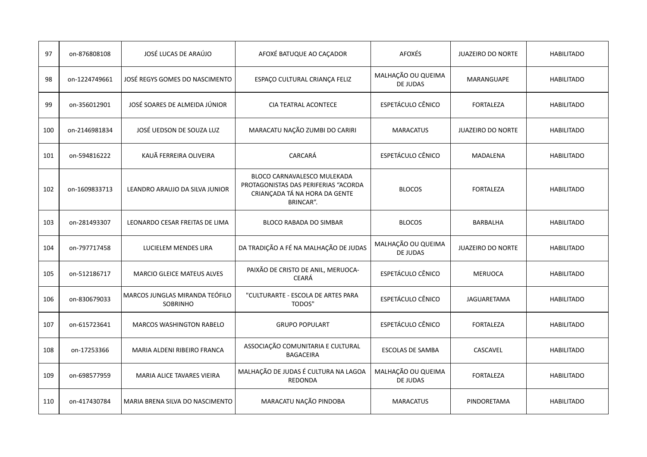| 97  | on-876808108  | JOSÉ LUCAS DE ARAÚJO                       | AFOXÉ BATUQUE AO CAÇADOR                                                                                          | <b>AFOXÉS</b>                         | <b>JUAZEIRO DO NORTE</b> | <b>HABILITADO</b> |
|-----|---------------|--------------------------------------------|-------------------------------------------------------------------------------------------------------------------|---------------------------------------|--------------------------|-------------------|
| 98  | on-1224749661 | JOSÉ REGYS GOMES DO NASCIMENTO             | ESPAÇO CULTURAL CRIANÇA FELIZ                                                                                     | MALHAÇÃO OU QUEIMA<br><b>DE JUDAS</b> | MARANGUAPE               | <b>HABILITADO</b> |
| 99  | on-356012901  | JOSÉ SOARES DE ALMEIDA JÚNIOR              | <b>CIA TEATRAL ACONTECE</b>                                                                                       | ESPETÁCULO CÊNICO                     | <b>FORTALEZA</b>         | <b>HABILITADO</b> |
| 100 | on-2146981834 | JOSÉ UEDSON DE SOUZA LUZ                   | MARACATU NAÇÃO ZUMBI DO CARIRI                                                                                    | <b>MARACATUS</b>                      | <b>JUAZEIRO DO NORTE</b> | <b>HABILITADO</b> |
| 101 | on-594816222  | KAUÃ FERREIRA OLIVEIRA                     | <b>CARCARÁ</b>                                                                                                    | ESPETÁCULO CÊNICO                     | <b>MADALENA</b>          | <b>HABILITADO</b> |
| 102 | on-1609833713 | LEANDRO ARAUJO DA SILVA JUNIOR             | BLOCO CARNAVALESCO MULEKADA<br>PROTAGONISTAS DAS PERIFERIAS "ACORDA<br>CRIANÇADA TÁ NA HORA DA GENTE<br>BRINCAR". | <b>BLOCOS</b>                         | <b>FORTALEZA</b>         | <b>HABILITADO</b> |
| 103 | on-281493307  | LEONARDO CESAR FREITAS DE LIMA             | <b>BLOCO RABADA DO SIMBAR</b>                                                                                     | <b>BLOCOS</b>                         | <b>BARBALHA</b>          | <b>HABILITADO</b> |
| 104 | on-797717458  | LUCIELEM MENDES LIRA                       | DA TRADIÇÃO A FÉ NA MALHAÇÃO DE JUDAS                                                                             | MALHAÇÃO OU QUEIMA<br>DE JUDAS        | JUAZEIRO DO NORTE        | <b>HABILITADO</b> |
| 105 | on-512186717  | <b>MARCIO GLEICE MATEUS ALVES</b>          | PAIXÃO DE CRISTO DE ANIL, MERUOCA-<br><b>CEARÁ</b>                                                                | ESPETÁCULO CÊNICO                     | <b>MERUOCA</b>           | <b>HABILITADO</b> |
| 106 | on-830679033  | MARCOS JUNGLAS MIRANDA TEÓFILO<br>SOBRINHO | "CULTURARTE - ESCOLA DE ARTES PARA<br>TODOS"                                                                      | ESPETÁCULO CÊNICO                     | JAGUARETAMA              | <b>HABILITADO</b> |
| 107 | on-615723641  | <b>MARCOS WASHINGTON RABELO</b>            | <b>GRUPO POPULART</b>                                                                                             | ESPETÁCULO CÊNICO                     | <b>FORTALEZA</b>         | <b>HABILITADO</b> |
| 108 | on-17253366   | MARIA ALDENI RIBEIRO FRANCA                | ASSOCIAÇÃO COMUNITARIA E CULTURAL<br><b>BAGACEIRA</b>                                                             | <b>ESCOLAS DE SAMBA</b>               | CASCAVEL                 | <b>HABILITADO</b> |
| 109 | on-698577959  | MARIA ALICE TAVARES VIEIRA                 | MALHAÇÃO DE JUDAS É CULTURA NA LAGOA<br>REDONDA                                                                   | MALHAÇÃO OU QUEIMA<br>DE JUDAS        | <b>FORTALEZA</b>         | <b>HABILITADO</b> |
| 110 | on-417430784  | MARIA BRENA SILVA DO NASCIMENTO            | MARACATU NAÇÃO PINDOBA                                                                                            | <b>MARACATUS</b>                      | PINDORETAMA              | <b>HABILITADO</b> |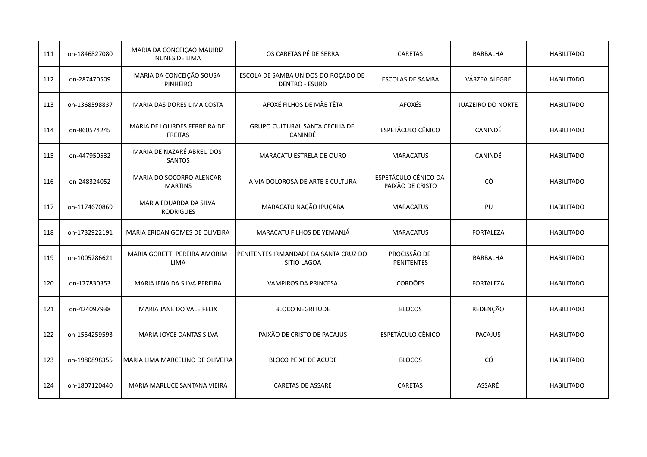| 111 | on-1846827080 | MARIA DA CONCEIÇÃO MAUIRIZ<br><b>NUNES DE LIMA</b> | OS CARETAS PÉ DE SERRA                                       | <b>CARETAS</b>                           | <b>BARBALHA</b>          | <b>HABILITADO</b> |
|-----|---------------|----------------------------------------------------|--------------------------------------------------------------|------------------------------------------|--------------------------|-------------------|
| 112 | on-287470509  | MARIA DA CONCEIÇÃO SOUSA<br><b>PINHEIRO</b>        | ESCOLA DE SAMBA UNIDOS DO ROÇADO DE<br><b>DENTRO - ESURD</b> | ESCOLAS DE SAMBA                         | VÁRZEA ALEGRE            | <b>HABILITADO</b> |
| 113 | on-1368598837 | MARIA DAS DORES LIMA COSTA                         | AFOXÉ FILHOS DE MÃE TÊTA                                     | <b>AFOXÉS</b>                            | <b>JUAZEIRO DO NORTE</b> | <b>HABILITADO</b> |
| 114 | on-860574245  | MARIA DE LOURDES FERREIRA DE<br><b>FREITAS</b>     | <b>GRUPO CULTURAL SANTA CECILIA DE</b><br>CANINDÉ            | ESPETÁCULO CÊNICO                        | CANINDÉ                  | <b>HABILITADO</b> |
| 115 | on-447950532  | MARIA DE NAZARÉ ABREU DOS<br><b>SANTOS</b>         | MARACATU ESTRELA DE OURO                                     | <b>MARACATUS</b>                         | <b>CANINDÉ</b>           | <b>HABILITADO</b> |
| 116 | on-248324052  | MARIA DO SOCORRO ALENCAR<br><b>MARTINS</b>         | A VIA DOLOROSA DE ARTE E CULTURA                             | ESPETÁCULO CÊNICO DA<br>PAIXÃO DE CRISTO | ICÓ                      | <b>HABILITADO</b> |
| 117 | on-1174670869 | MARIA EDUARDA DA SILVA<br><b>RODRIGUES</b>         | MARACATU NAÇÃO IPUÇABA                                       | <b>MARACATUS</b>                         | IPU                      | <b>HABILITADO</b> |
| 118 | on-1732922191 | <b>MARIA ERIDAN GOMES DE OLIVEIRA</b>              | MARACATU FILHOS DE YEMANJÁ                                   | <b>MARACATUS</b>                         | <b>FORTALEZA</b>         | <b>HABILITADO</b> |
| 119 | on-1005286621 | MARIA GORETTI PEREIRA AMORIM<br><b>LIMA</b>        | PENITENTES IRMANDADE DA SANTA CRUZ DO<br>SITIO LAGOA         | PROCISSÃO DE<br><b>PENITENTES</b>        | <b>BARBALHA</b>          | <b>HABILITADO</b> |
| 120 | on-177830353  | MARIA IENA DA SILVA PEREIRA                        | VAMPIROS DA PRINCESA                                         | <b>CORDÕES</b>                           | <b>FORTALEZA</b>         | <b>HABILITADO</b> |
| 121 | on-424097938  | MARIA JANE DO VALE FELIX                           | <b>BLOCO NEGRITUDE</b>                                       | <b>BLOCOS</b>                            | REDENÇÃO                 | <b>HABILITADO</b> |
| 122 | on-1554259593 | MARIA JOYCE DANTAS SILVA                           | PAIXÃO DE CRISTO DE PACAJUS                                  | ESPETÁCULO CÊNICO                        | <b>PACAJUS</b>           | <b>HABILITADO</b> |
| 123 | on-1980898355 | MARIA LIMA MARCELINO DE OLIVEIRA                   | <b>BLOCO PEIXE DE AÇUDE</b>                                  | <b>BLOCOS</b>                            | ICÓ                      | <b>HABILITADO</b> |
| 124 | on-1807120440 | MARIA MARLUCE SANTANA VIEIRA                       | CARETAS DE ASSARÉ                                            | <b>CARETAS</b>                           | ASSARÉ                   | <b>HABILITADO</b> |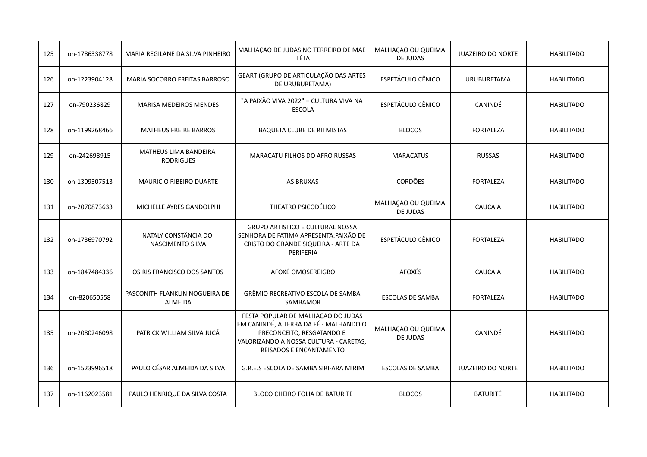| 125 | on-1786338778 | MARIA REGILANE DA SILVA PINHEIRO          | MALHAÇÃO DE JUDAS NO TERREIRO DE MÃE<br><b>TÉTA</b>                                                                                                                                   | MALHAÇÃO OU QUEIMA<br>DE JUDAS | <b>JUAZEIRO DO NORTE</b> | <b>HABILITADO</b> |
|-----|---------------|-------------------------------------------|---------------------------------------------------------------------------------------------------------------------------------------------------------------------------------------|--------------------------------|--------------------------|-------------------|
| 126 | on-1223904128 | <b>MARIA SOCORRO FREITAS BARROSO</b>      | GEART (GRUPO DE ARTICULAÇÃO DAS ARTES<br>DE URUBURETAMA)                                                                                                                              | ESPETÁCULO CÊNICO              | <b>URUBURETAMA</b>       | <b>HABILITADO</b> |
| 127 | on-790236829  | <b>MARISA MEDEIROS MENDES</b>             | "A PAIXÃO VIVA 2022" - CULTURA VIVA NA<br><b>ESCOLA</b>                                                                                                                               | ESPETÁCULO CÊNICO              | <b>CANINDÉ</b>           | <b>HABILITADO</b> |
| 128 | on-1199268466 | <b>MATHEUS FREIRE BARROS</b>              | <b>BAQUETA CLUBE DE RITMISTAS</b>                                                                                                                                                     | <b>BLOCOS</b>                  | <b>FORTALEZA</b>         | <b>HABILITADO</b> |
| 129 | on-242698915  | MATHEUS LIMA BANDEIRA<br><b>RODRIGUES</b> | MARACATU FILHOS DO AFRO RUSSAS                                                                                                                                                        | <b>MARACATUS</b>               | <b>RUSSAS</b>            | <b>HABILITADO</b> |
| 130 | on-1309307513 | <b>MAURICIO RIBEIRO DUARTE</b>            | <b>AS BRUXAS</b>                                                                                                                                                                      | <b>CORDÕES</b>                 | <b>FORTALEZA</b>         | <b>HABILITADO</b> |
| 131 | on-2070873633 | MICHELLE AYRES GANDOLPHI                  | THEATRO PSICODÉLICO                                                                                                                                                                   | MALHAÇÃO OU QUEIMA<br>DE JUDAS | CAUCAIA                  | <b>HABILITADO</b> |
| 132 | on-1736970792 | NATALY CONSTÂNCIA DO<br>NASCIMENTO SILVA  | <b>GRUPO ARTISTICO E CULTURAL NOSSA</b><br>SENHORA DE FATIMA APRESENTA: PAIXÃO DE<br>CRISTO DO GRANDE SIQUEIRA - ARTE DA<br>PERIFERIA                                                 | ESPETÁCULO CÊNICO              | <b>FORTALEZA</b>         | <b>HABILITADO</b> |
| 133 | on-1847484336 | <b>OSIRIS FRANCISCO DOS SANTOS</b>        | AFOXÉ OMOSEREIGBO                                                                                                                                                                     | <b>AFOXÉS</b>                  | <b>CAUCAIA</b>           | <b>HABILITADO</b> |
| 134 | on-820650558  | PASCONITH FLANKLIN NOGUEIRA DE<br>ALMEIDA | GRÊMIO RECREATIVO ESCOLA DE SAMBA<br>SAMBAMOR                                                                                                                                         | <b>ESCOLAS DE SAMBA</b>        | <b>FORTALEZA</b>         | <b>HABILITADO</b> |
| 135 | on-2080246098 | PATRICK WILLIAM SILVA JUCÁ                | FESTA POPULAR DE MALHAÇÃO DO JUDAS<br>EM CANINDÉ, A TERRA DA FÉ - MALHANDO O<br>PRECONCEITO, RESGATANDO E<br>VALORIZANDO A NOSSA CULTURA - CARETAS,<br><b>REISADOS E ENCANTAMENTO</b> | MALHAÇÃO OU QUEIMA<br>DE JUDAS | CANINDÉ                  | <b>HABILITADO</b> |
| 136 | on-1523996518 | PAULO CÉSAR ALMEIDA DA SILVA              | G.R.E.S ESCOLA DE SAMBA SIRI-ARA MIRIM                                                                                                                                                | <b>ESCOLAS DE SAMBA</b>        | <b>JUAZEIRO DO NORTE</b> | <b>HABILITADO</b> |
| 137 | on-1162023581 | PAULO HENRIQUE DA SILVA COSTA             | <b>BLOCO CHEIRO FOLIA DE BATURITÉ</b>                                                                                                                                                 | <b>BLOCOS</b>                  | <b>BATURITÉ</b>          | <b>HABILITADO</b> |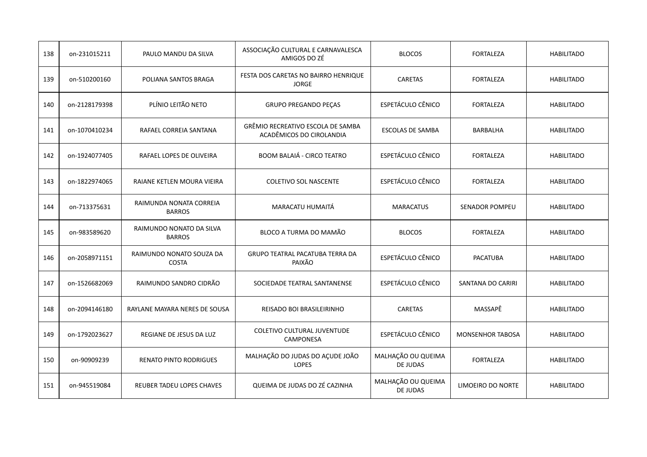| 138 | on-231015211  | PAULO MANDU DA SILVA                      | ASSOCIAÇÃO CULTURAL E CARNAVALESCA<br>AMIGOS DO ZÉ            | <b>BLOCOS</b>                  | <b>FORTALEZA</b>        | <b>HABILITADO</b> |
|-----|---------------|-------------------------------------------|---------------------------------------------------------------|--------------------------------|-------------------------|-------------------|
| 139 | on-510200160  | POLIANA SANTOS BRAGA                      | FESTA DOS CARETAS NO BAIRRO HENRIQUE<br><b>JORGE</b>          | <b>CARETAS</b>                 | <b>FORTALEZA</b>        | <b>HABILITADO</b> |
| 140 | on-2128179398 | PLÍNIO LEITÃO NETO                        | <b>GRUPO PREGANDO PEÇAS</b>                                   | ESPETÁCULO CÊNICO              | <b>FORTALEZA</b>        | <b>HABILITADO</b> |
| 141 | on-1070410234 | RAFAEL CORREIA SANTANA                    | GRÊMIO RECREATIVO ESCOLA DE SAMBA<br>ACADÊMICOS DO CIROLANDIA | <b>ESCOLAS DE SAMBA</b>        | BARBALHA                | <b>HABILITADO</b> |
| 142 | on-1924077405 | RAFAEL LOPES DE OLIVEIRA                  | <b>BOOM BALAIÁ - CIRCO TEATRO</b>                             | ESPETÁCULO CÊNICO              | <b>FORTALEZA</b>        | <b>HABILITADO</b> |
| 143 | on-1822974065 | RAIANE KETLEN MOURA VIEIRA                | <b>COLETIVO SOL NASCENTE</b>                                  | ESPETÁCULO CÊNICO              | <b>FORTALEZA</b>        | <b>HABILITADO</b> |
| 144 | on-713375631  | RAIMUNDA NONATA CORREIA<br><b>BARROS</b>  | MARACATU HUMAITÁ                                              | <b>MARACATUS</b>               | <b>SENADOR POMPEU</b>   | <b>HABILITADO</b> |
| 145 | on-983589620  | RAIMUNDO NONATO DA SILVA<br><b>BARROS</b> | BLOCO A TURMA DO MAMÃO                                        | <b>BLOCOS</b>                  | <b>FORTALEZA</b>        | <b>HABILITADO</b> |
| 146 | on-2058971151 | RAIMUNDO NONATO SOUZA DA<br><b>COSTA</b>  | <b>GRUPO TEATRAL PACATUBA TERRA DA</b><br>PAIXÃO              | ESPETÁCULO CÊNICO              | <b>PACATUBA</b>         | <b>HABILITADO</b> |
| 147 | on-1526682069 | RAIMUNDO SANDRO CIDRÃO                    | SOCIEDADE TEATRAL SANTANENSE                                  | ESPETÁCULO CÊNICO              | SANTANA DO CARIRI       | <b>HABILITADO</b> |
| 148 | on-2094146180 | RAYLANE MAYARA NERES DE SOUSA             | REISADO BOI BRASILEIRINHO                                     | <b>CARETAS</b>                 | MASSAPÊ                 | <b>HABILITADO</b> |
| 149 | on-1792023627 | REGIANE DE JESUS DA LUZ                   | <b>COLETIVO CULTURAL JUVENTUDE</b><br><b>CAMPONESA</b>        | ESPETÁCULO CÊNICO              | <b>MONSENHOR TABOSA</b> | <b>HABILITADO</b> |
| 150 | on-90909239   | <b>RENATO PINTO RODRIGUES</b>             | MALHAÇÃO DO JUDAS DO AÇUDE JOÃO<br><b>LOPES</b>               | MALHAÇÃO OU QUEIMA<br>DE JUDAS | <b>FORTALEZA</b>        | <b>HABILITADO</b> |
| 151 | on-945519084  | REUBER TADEU LOPES CHAVES                 | QUEIMA DE JUDAS DO ZÉ CAZINHA                                 | MALHAÇÃO OU QUEIMA<br>DE JUDAS | LIMOEIRO DO NORTE       | <b>HABILITADO</b> |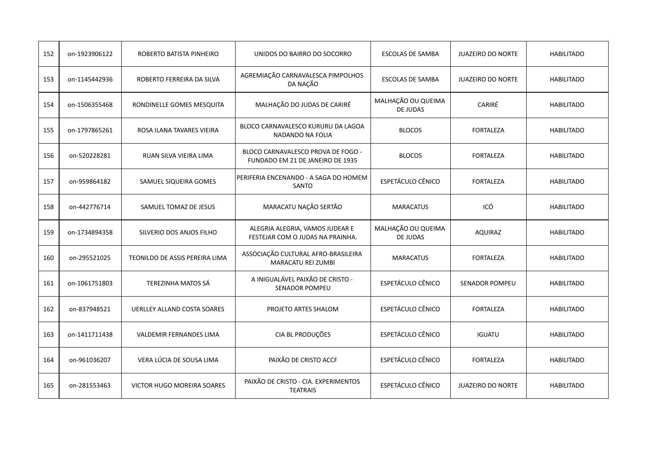| 152 | on-1923906122 | ROBERTO BATISTA PINHEIRO           | UNIDOS DO BAIRRO DO SOCORRO                                            | <b>ESCOLAS DE SAMBA</b>        | <b>JUAZEIRO DO NORTE</b> | <b>HABILITADO</b> |
|-----|---------------|------------------------------------|------------------------------------------------------------------------|--------------------------------|--------------------------|-------------------|
| 153 | on-1145442936 | ROBERTO FERREIRA DA SILVA          | AGREMIAÇÃO CARNAVALESCA PIMPOLHOS<br>DA NAÇÃO                          | <b>ESCOLAS DE SAMBA</b>        | <b>JUAZEIRO DO NORTE</b> | <b>HABILITADO</b> |
| 154 | on-1506355468 | RONDINELLE GOMES MESQUITA          | MALHAÇÃO DO JUDAS DE CARIRÉ                                            | MALHAÇÃO OU QUEIMA<br>DE JUDAS | CARIRÉ                   | <b>HABILITADO</b> |
| 155 | on-1797865261 | ROSA ILANA TAVARES VIEIRA          | BLOCO CARNAVALESCO KURURU DA LAGOA<br>NADANDO NA FOLIA                 | <b>BLOCOS</b>                  | <b>FORTALEZA</b>         | <b>HABILITADO</b> |
| 156 | on-520228281  | RUAN SILVA VIEIRA LIMA             | BLOCO CARNAVALESCO PROVA DE FOGO -<br>FUNDADO EM 21 DE JANEIRO DE 1935 | <b>BLOCOS</b>                  | <b>FORTALEZA</b>         | <b>HABILITADO</b> |
| 157 | on-959864182  | SAMUEL SIQUEIRA GOMES              | PERIFERIA ENCENANDO - A SAGA DO HOMEM<br><b>SANTO</b>                  | ESPETÁCULO CÊNICO              | <b>FORTALEZA</b>         | <b>HABILITADO</b> |
| 158 | on-442776714  | SAMUEL TOMAZ DE JESUS              | MARACATU NAÇÃO SERTÃO                                                  | <b>MARACATUS</b>               | ICÓ                      | <b>HABILITADO</b> |
| 159 | on-1734894358 | SILVERIO DOS ANJOS FILHO           | ALEGRIA ALEGRIA, VAMOS JUDEAR E<br>FESTEJAR COM O JUDAS NA PRAINHA.    | MALHAÇÃO OU QUEIMA<br>DE JUDAS | <b>AQUIRAZ</b>           | <b>HABILITADO</b> |
| 160 | on-295521025  | TEONILDO DE ASSIS PEREIRA LIMA     | ASSOCIAÇÃO CULTURAL AFRO-BRASILEIRA<br><b>MARACATU REI ZUMBI</b>       | <b>MARACATUS</b>               | <b>FORTALEZA</b>         | <b>HABILITADO</b> |
| 161 | on-1061751803 | <b>TEREZINHA MATOS SÁ</b>          | A INIGUALÁVEL PAIXÃO DE CRISTO -<br><b>SENADOR POMPEU</b>              | ESPETÁCULO CÊNICO              | <b>SENADOR POMPEU</b>    | <b>HABILITADO</b> |
| 162 | on-837948521  | <b>UERLLEY ALLAND COSTA SOARES</b> | PROJETO ARTES SHALOM                                                   | ESPETÁCULO CÊNICO              | <b>FORTALEZA</b>         | <b>HABILITADO</b> |
| 163 | on-1411711438 | <b>VALDEMIR FERNANDES LIMA</b>     | CIA BL PRODUÇÕES                                                       | ESPETÁCULO CÊNICO              | <b>IGUATU</b>            | <b>HABILITADO</b> |
| 164 | on-961036207  | VERA LÚCIA DE SOUSA LIMA           | PAIXÃO DE CRISTO ACCF                                                  | ESPETÁCULO CÊNICO              | <b>FORTALEZA</b>         | <b>HABILITADO</b> |
| 165 | on-281553463  | <b>VICTOR HUGO MOREIRA SOARES</b>  | PAIXÃO DE CRISTO - CIA. EXPERIMENTOS<br><b>TEATRAIS</b>                | ESPETÁCULO CÊNICO              | <b>JUAZEIRO DO NORTE</b> | <b>HABILITADO</b> |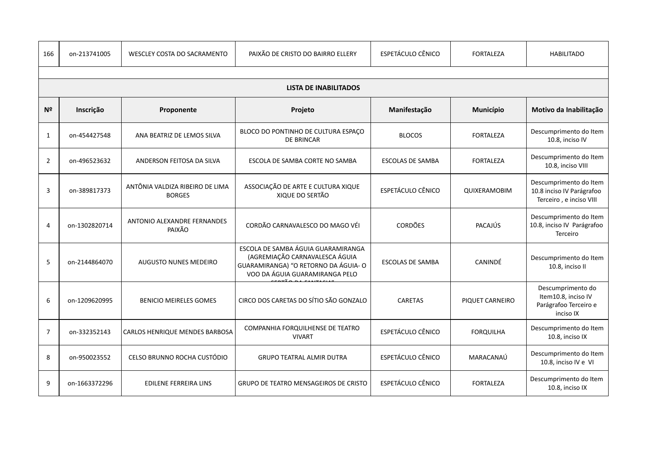| 166            | on-213741005  | <b>WESCLEY COSTA DO SACRAMENTO</b>               | PAIXÃO DE CRISTO DO BAIRRO ELLERY                                                                                                             | ESPETÁCULO CÊNICO        | <b>FORTALEZA</b> | <b>HABILITADO</b>                                                              |
|----------------|---------------|--------------------------------------------------|-----------------------------------------------------------------------------------------------------------------------------------------------|--------------------------|------------------|--------------------------------------------------------------------------------|
|                |               |                                                  |                                                                                                                                               |                          |                  |                                                                                |
|                |               |                                                  | <b>LISTA DE INABILITADOS</b>                                                                                                                  |                          |                  |                                                                                |
| N <sup>2</sup> | Inscrição     | Proponente                                       | Projeto                                                                                                                                       | Manifestação             | Município        | Motivo da Inabilitação                                                         |
| 1              | on-454427548  | ANA BEATRIZ DE LEMOS SILVA                       | BLOCO DO PONTINHO DE CULTURA ESPAÇO<br><b>DE BRINCAR</b>                                                                                      | <b>BLOCOS</b>            | <b>FORTALEZA</b> | Descumprimento do Item<br>10.8, inciso IV                                      |
| $\overline{2}$ | on-496523632  | ANDERSON FEITOSA DA SILVA                        | ESCOLA DE SAMBA CORTE NO SAMBA                                                                                                                | <b>ESCOLAS DE SAMBA</b>  | <b>FORTALEZA</b> | Descumprimento do Item<br>10.8, inciso VIII                                    |
| 3              | on-389817373  | ANTÔNIA VALDIZA RIBEIRO DE LIMA<br><b>BORGES</b> | ASSOCIAÇÃO DE ARTE E CULTURA XIQUE<br>XIQUE DO SERTÃO                                                                                         | ESPETÁCULO CÊNICO        | QUIXERAMOBIM     | Descumprimento do Item<br>10.8 inciso IV Parágrafoo<br>Terceiro, e inciso VIII |
| $\overline{4}$ | on-1302820714 | ANTONIO ALEXANDRE FERNANDES<br>PAIXÃO            | CORDÃO CARNAVALESCO DO MAGO VÉI                                                                                                               | <b>CORDÕES</b>           | PACAJÚS          | Descumprimento do Item<br>10.8, inciso IV Parágrafoo<br>Terceiro               |
| 5              | on-2144864070 | <b>AUGUSTO NUNES MEDEIRO</b>                     | ESCOLA DE SAMBA ÁGUIA GUARAMIRANGA<br>(AGREMIAÇÃO CARNAVALESCA ÁGUIA<br>GUARAMIRANGA) "O RETORNO DA ÁGUIA-O<br>VOO DA ÁGUIA GUARAMIRANGA PELO | <b>ESCOLAS DE SAMBA</b>  | <b>CANINDÉ</b>   | Descumprimento do Item<br>10.8, inciso II                                      |
| 6              | on-1209620995 | <b>BENICIO MEIRELES GOMES</b>                    | CIRCO DOS CARETAS DO SÍTIO SÃO GONZALO                                                                                                        | <b>CARETAS</b>           | PIQUET CARNEIRO  | Descumprimento do<br>Item10.8, inciso IV<br>Parágrafoo Terceiro e<br>inciso IX |
| $\overline{7}$ | on-332352143  | <b>CARLOS HENRIQUE MENDES BARBOSA</b>            | COMPANHIA FORQUILHENSE DE TEATRO<br><b>VIVART</b>                                                                                             | <b>ESPETÁCULO CÊNICO</b> | <b>FORQUILHA</b> | Descumprimento do Item<br>10.8, inciso IX                                      |
| 8              | on-950023552  | CELSO BRUNNO ROCHA CUSTÓDIO                      | <b>GRUPO TEATRAL ALMIR DUTRA</b>                                                                                                              | ESPETÁCULO CÊNICO        | MARACANAÚ        | Descumprimento do Item<br>10.8, inciso IV e VI                                 |
| 9              | on-1663372296 | <b>EDILENE FERREIRA LINS</b>                     | <b>GRUPO DE TEATRO MENSAGEIROS DE CRISTO</b>                                                                                                  | ESPETÁCULO CÊNICO        | <b>FORTALEZA</b> | Descumprimento do Item<br>10.8, inciso IX                                      |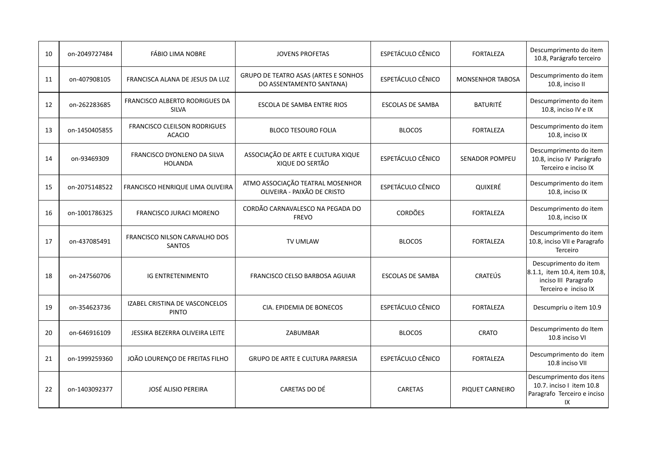| 10 | on-2049727484 | <b>FÁBIO LIMA NOBRE</b>                              | <b>JOVENS PROFETAS</b>                                                  | ESPETÁCULO CÊNICO        | <b>FORTALEZA</b>        | Descumprimento do item<br>10.8, Parágrafo terceiro                                                    |
|----|---------------|------------------------------------------------------|-------------------------------------------------------------------------|--------------------------|-------------------------|-------------------------------------------------------------------------------------------------------|
| 11 | on-407908105  | FRANCISCA ALANA DE JESUS DA LUZ                      | <b>GRUPO DE TEATRO ASAS (ARTES E SONHOS</b><br>DO ASSENTAMENTO SANTANA) | <b>ESPETÁCULO CÊNICO</b> | <b>MONSENHOR TABOSA</b> | Descumprimento do item<br>10.8, inciso II                                                             |
| 12 | on-262283685  | <b>FRANCISCO ALBERTO RODRIGUES DA</b><br>SILVA       | ESCOLA DE SAMBA ENTRE RIOS                                              | <b>ESCOLAS DE SAMBA</b>  | <b>BATURITÉ</b>         | Descumprimento do item<br>10.8, inciso IV e IX                                                        |
| 13 | on-1450405855 | <b>FRANCISCO CLEILSON RODRIGUES</b><br><b>ACACIO</b> | <b>BLOCO TESOURO FOLIA</b>                                              | <b>BLOCOS</b>            | <b>FORTALEZA</b>        | Descumprimento do item<br>10.8, inciso IX                                                             |
| 14 | on-93469309   | FRANCISCO DYONLENO DA SILVA<br><b>HOLANDA</b>        | ASSOCIAÇÃO DE ARTE E CULTURA XIQUE<br>XIQUE DO SERTÃO                   | ESPETÁCULO CÊNICO        | <b>SENADOR POMPEU</b>   | Descumprimento do item<br>10.8, inciso IV Parágrafo<br>Terceiro e inciso IX                           |
| 15 | on-2075148522 | FRANCISCO HENRIQUE LIMA OLIVEIRA                     | ATMO ASSOCIAÇÃO TEATRAL MOSENHOR<br>OLIVEIRA - PAIXÃO DE CRISTO         | <b>ESPETÁCULO CÊNICO</b> | QUIXERÉ                 | Descumprimento do item<br>10.8, inciso IX                                                             |
| 16 | on-1001786325 | FRANCISCO JURACI MORENO                              | CORDÃO CARNAVALESCO NA PEGADA DO<br><b>FREVO</b>                        | <b>CORDÕES</b>           | <b>FORTALEZA</b>        | Descumprimento do item<br>10.8, inciso IX                                                             |
| 17 | on-437085491  | FRANCISCO NILSON CARVALHO DOS<br><b>SANTOS</b>       | <b>TV UMLAW</b>                                                         | <b>BLOCOS</b>            | <b>FORTALEZA</b>        | Descumprimento do item<br>10.8, inciso VII e Paragrafo<br>Terceiro                                    |
| 18 | on-247560706  | <b>IG ENTRETENIMENTO</b>                             | FRANCISCO CELSO BARBOSA AGUIAR                                          | <b>ESCOLAS DE SAMBA</b>  | <b>CRATEÚS</b>          | Descuprimento do item<br>8.1.1, item 10.4, item 10.8,<br>inciso III Paragrafo<br>Terceiro e inciso IX |
| 19 | on-354623736  | IZABEL CRISTINA DE VASCONCELOS<br><b>PINTO</b>       | CIA. EPIDEMIA DE BONECOS                                                | ESPETÁCULO CÊNICO        | <b>FORTALEZA</b>        | Descumpriu o item 10.9                                                                                |
| 20 | on-646916109  | JESSIKA BEZERRA OLIVEIRA LEITE                       | ZABUMBAR                                                                | <b>BLOCOS</b>            | <b>CRATO</b>            | Descumprimento do Item<br>10.8 inciso VI                                                              |
| 21 | on-1999259360 | JOÃO LOURENÇO DE FREITAS FILHO                       | <b>GRUPO DE ARTE E CULTURA PARRESIA</b>                                 | ESPETÁCULO CÊNICO        | <b>FORTALEZA</b>        | Descumprimento do item<br>10.8 inciso VII                                                             |
| 22 | on-1403092377 | <b>JOSÉ ALISIO PEREIRA</b>                           | CARETAS DO DÉ                                                           | <b>CARETAS</b>           | PIQUET CARNEIRO         | Descumprimento dos itens<br>10.7. inciso I item 10.8<br>Paragrafo Terceiro e inciso<br>IX             |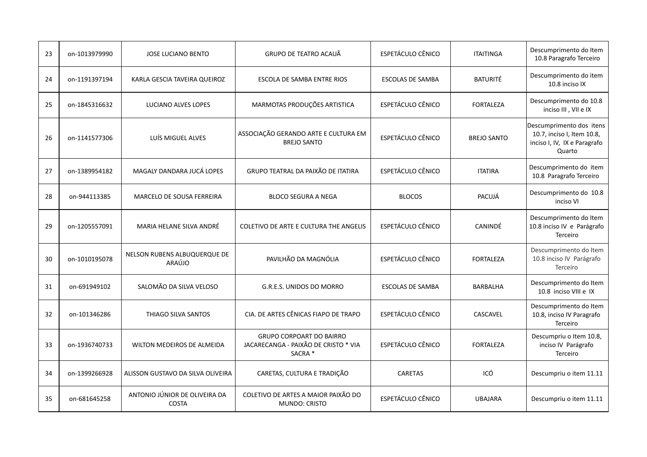| 23 | on-1013979990 | <b>JOSE LUCIANO BENTO</b>                     | <b>GRUPO DE TEATRO ACAUÃ</b>                                                       | ESPETÁCULO CÊNICO       | <b>ITAITINGA</b>   | Descumprimento do Item<br>10.8 Paragrafo Terceiro                                                |
|----|---------------|-----------------------------------------------|------------------------------------------------------------------------------------|-------------------------|--------------------|--------------------------------------------------------------------------------------------------|
| 24 | on-1191397194 | KARLA GESCIA TAVEIRA QUEIROZ                  | ESCOLA DE SAMBA ENTRE RIOS                                                         | ESCOLAS DE SAMBA        | <b>BATURITÉ</b>    | Descumprimento do item<br>10.8 inciso IX                                                         |
| 25 | on-1845316632 | LUCIANO ALVES LOPES                           | MARMOTAS PRODUÇÕES ARTISTICA                                                       | ESPETÁCULO CÊNICO       | <b>FORTALEZA</b>   | Descumprimento do 10.8<br>inciso III, VII e IX                                                   |
| 26 | on-1141577306 | LUÍS MIGUEL ALVES                             | ASSOCIAÇÃO GERANDO ARTE E CULTURA EM<br><b>BREJO SANTO</b>                         | ESPETÁCULO CÊNICO       | <b>BREJO SANTO</b> | Descumprimento dos itens<br>10.7, inciso I, Item 10.8,<br>inciso I, IV, IX e Paragrafo<br>Quarto |
| 27 | on-1389954182 | MAGALY DANDARA JUCÁ LOPES                     | GRUPO TEATRAL DA PAIXÃO DE ITATIRA                                                 | ESPETÁCULO CÊNICO       | <b>ITATIRA</b>     | Descumprimento do item<br>10.8 Paragrafo Terceiro                                                |
| 28 | on-944113385  | MARCELO DE SOUSA FERREIRA                     | <b>BLOCO SEGURA A NEGA</b>                                                         | <b>BLOCOS</b>           | PACUJÁ             | Descumprimento do 10.8<br>inciso VI                                                              |
| 29 | on-1205557091 | MARIA HELANE SILVA ANDRÉ                      | COLETIVO DE ARTE E CULTURA THE ANGELIS                                             | ESPETÁCULO CÊNICO       | <b>CANINDÉ</b>     | Descumprimento do Item<br>10.8 inciso IV e Parágrafo<br>Terceiro                                 |
| 30 | on-1010195078 | NELSON RUBENS ALBUQUERQUE DE<br>ARAÚJO        | PAVILHÃO DA MAGNÓLIA                                                               | ESPETÁCULO CÊNICO       | <b>FORTALEZA</b>   | Descumprimento do Item<br>10.8 inciso IV Parágrafo<br>Terceiro                                   |
| 31 | on-691949102  | SALOMÃO DA SILVA VELOSO                       | G.R.E.S. UNIDOS DO MORRO                                                           | <b>ESCOLAS DE SAMBA</b> | BARBALHA           | Descumprimento do Item<br>10.8 inciso VIII e IX                                                  |
| 32 | on-101346286  | THIAGO SILVA SANTOS                           | CIA. DE ARTES CÊNICAS FIAPO DE TRAPO                                               | ESPETÁCULO CÊNICO       | <b>CASCAVEL</b>    | Descumprimento do Item<br>10.8, inciso IV Paragrafo<br>Terceiro                                  |
| 33 | on-1936740733 | WILTON MEDEIROS DE ALMEIDA                    | <b>GRUPO CORPOART DO BAIRRO</b><br>JACARECANGA - PAIXÃO DE CRISTO * VIA<br>SACRA * | ESPETÁCULO CÊNICO       | <b>FORTALEZA</b>   | Descumpriu o Item 10.8,<br>inciso IV Parágrafo<br>Terceiro                                       |
| 34 | on-1399266928 | ALISSON GUSTAVO DA SILVA OLIVEIRA             | CARETAS, CULTURA E TRADIÇÃO                                                        | <b>CARETAS</b>          | ICÓ                | Descumpriu o item 11.11                                                                          |
| 35 | on-681645258  | ANTONIO JÚNIOR DE OLIVEIRA DA<br><b>COSTA</b> | COLETIVO DE ARTES A MAIOR PAIXÃO DO<br><b>MUNDO: CRISTO</b>                        | ESPETÁCULO CÊNICO       | <b>UBAJARA</b>     | Descumpriu o item 11.11                                                                          |